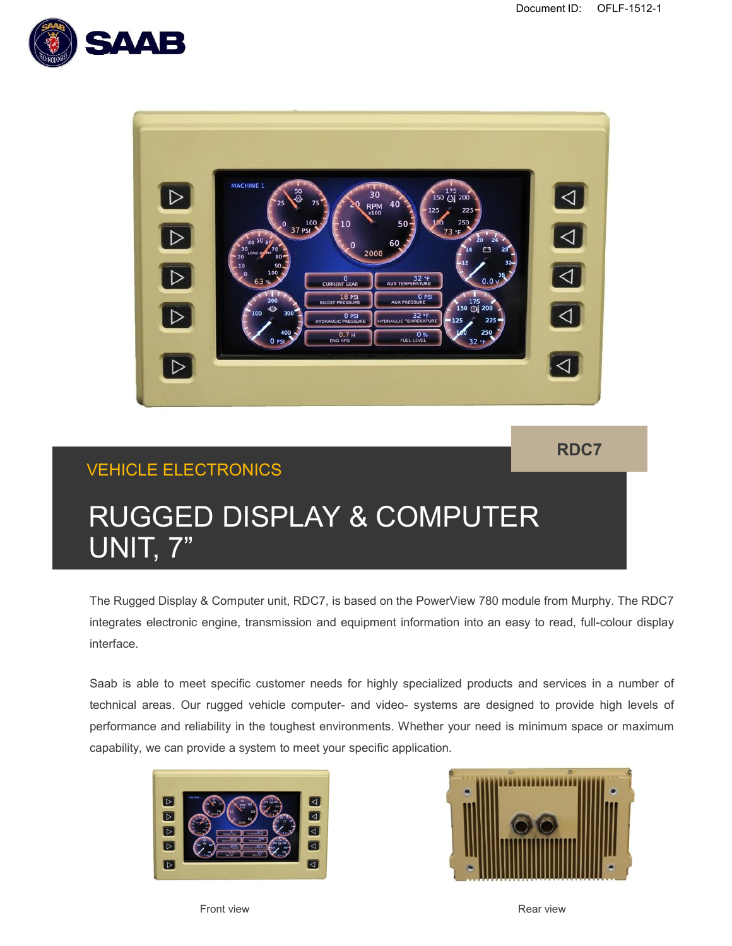



**RDC7**

## VEHICLE ELECTRONICS

# RUGGED DISPLAY & COMPUTER UNIT, 7"

The Rugged Display & Computer unit, RDC7, is based on the PowerView 780 module from Murphy. The RDC7 integrates electronic engine, transmission and equipment information into an easy to read, full-colour display interface.

Saab is able to meet specific customer needs for highly specialized products and services in a number of technical areas. Our rugged vehicle computer- and video- systems are designed to provide high levels of performance and reliability in the toughest environments. Whether your need is minimum space or maximum capability, we can provide a system to meet your specific application.